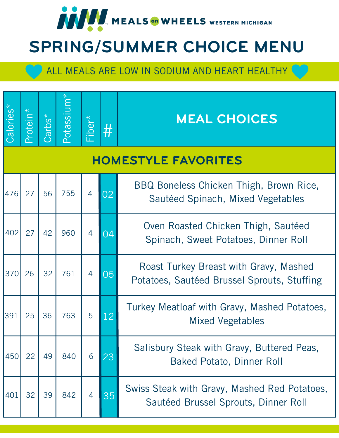

# SPRING/SUMMER CHOICE MENU

| Calories* | Protein* | $\overline{\text{Cartbs}^*}$ | Potassium* | Fiber*         | #  | <b>MEAL CHOICES</b>                                                                   |
|-----------|----------|------------------------------|------------|----------------|----|---------------------------------------------------------------------------------------|
|           |          |                              |            |                |    | <b>HOMESTYLE FAVORITES</b>                                                            |
| 476       | 27       | 56                           | 755        | $\overline{4}$ | 32 | BBQ Boneless Chicken Thigh, Brown Rice,<br>Sautéed Spinach, Mixed Vegetables          |
| 402       | 27       | 42                           | 960        | 4              | 04 | Oven Roasted Chicken Thigh, Sautéed<br>Spinach, Sweet Potatoes, Dinner Roll           |
| 370       | 26       | 32                           | 761        | 4              | 05 | Roast Turkey Breast with Gravy, Mashed<br>Potatoes, Sautéed Brussel Sprouts, Stuffing |
| 391       | 25       | 36                           | 763        | 5              | 12 | Turkey Meatloaf with Gravy, Mashed Potatoes,<br><b>Mixed Vegetables</b>               |
| 450       | 22       | 49                           | 840        | 6              | 23 | Salisbury Steak with Gravy, Buttered Peas,<br><b>Baked Potato, Dinner Roll</b>        |
| 401       | 32       | 39                           | 842        | 4              | 35 | Swiss Steak with Gravy, Mashed Red Potatoes,<br>Sautéed Brussel Sprouts, Dinner Roll  |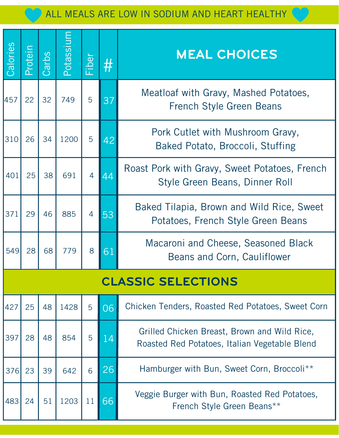| Calories | Protein                   | Carbs | puissaboc | <b>Fiber</b>   | $\#$ | <b>MEAL CHOICES</b>                                                                           |  |  |
|----------|---------------------------|-------|-----------|----------------|------|-----------------------------------------------------------------------------------------------|--|--|
| 457      | 22                        | 32    | 749       | 5              | 37   | Meatloaf with Gravy, Mashed Potatoes,<br><b>French Style Green Beans</b>                      |  |  |
| 310      | 26                        | 34    | 1200      | 5              | 42   | Pork Cutlet with Mushroom Gravy,<br>Baked Potato, Broccoli, Stuffing                          |  |  |
| 401      | 25                        | 38    | 691       | $\overline{4}$ | 44   | Roast Pork with Gravy, Sweet Potatoes, French<br>Style Green Beans, Dinner Roll               |  |  |
| 371      | 29                        | 46    | 885       | 4              | 53   | Baked Tilapia, Brown and Wild Rice, Sweet<br>Potatoes, French Style Green Beans               |  |  |
| 549      | 28                        | 68    | 779       | 8              | 61   | Macaroni and Cheese, Seasoned Black<br>Beans and Corn, Cauliflower                            |  |  |
|          | <b>CLASSIC SELECTIONS</b> |       |           |                |      |                                                                                               |  |  |
| 427      | 25                        | 48    | 1428      | 5              | 06   | Chicken Tenders, Roasted Red Potatoes, Sweet Corn                                             |  |  |
| 397      | 28                        | 48    | 854       | 5              | 14   | Grilled Chicken Breast, Brown and Wild Rice,<br>Roasted Red Potatoes, Italian Vegetable Blend |  |  |
| 376      | 23                        | 39    | 642       | 6              | 26   | Hamburger with Bun, Sweet Corn, Broccoli**                                                    |  |  |
| 483      | 24                        | 51    | 1203      | 11             | 66   | Veggie Burger with Bun, Roasted Red Potatoes,<br>French Style Green Beans**                   |  |  |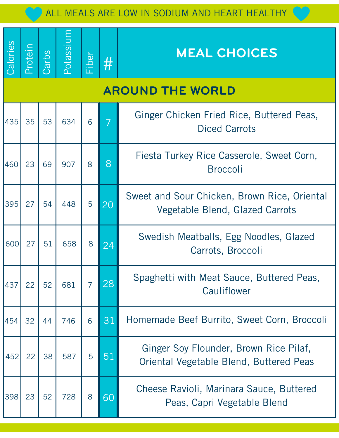| Calories | Protein | Carbs | Potassiu | Fiber          | $\#$ | <b>MEAL CHOICES</b>                                                               |
|----------|---------|-------|----------|----------------|------|-----------------------------------------------------------------------------------|
|          |         |       |          |                |      | <b>AROUND THE WORLD</b>                                                           |
| 435      | 35      | 53    | 634      | 6              |      | Ginger Chicken Fried Rice, Buttered Peas,<br><b>Diced Carrots</b>                 |
| 460      | 23      | 69    | 907      | 8              | 8    | Fiesta Turkey Rice Casserole, Sweet Corn,<br><b>Broccoli</b>                      |
| 395      | 27      | 54    | 448      | 5              | 20   | Sweet and Sour Chicken, Brown Rice, Oriental<br>Vegetable Blend, Glazed Carrots   |
| 600      | 27      | 51    | 658      | 8              | 24   | Swedish Meatballs, Egg Noodles, Glazed<br>Carrots, Broccoli                       |
| 437      | 22      | 52    | 681      | $\overline{7}$ | 28   | Spaghetti with Meat Sauce, Buttered Peas,<br>Cauliflower                          |
| 454      | 32      | 44    | 746      | 6              | 31   | Homemade Beef Burrito, Sweet Corn, Broccoli                                       |
| 452      | 22      | 38    | 587      | 5              | 51   | Ginger Soy Flounder, Brown Rice Pilaf,<br>Oriental Vegetable Blend, Buttered Peas |
| 398      | 23      | 52    | 728      | 8              | 60   | Cheese Ravioli, Marinara Sauce, Buttered<br>Peas, Capri Vegetable Blend           |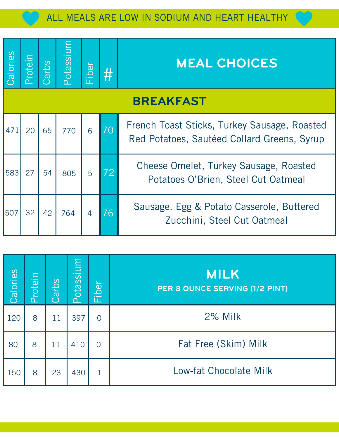| Calories | nietrin | arbs | Potassium | iber | # | <b>MEAL CHOICES</b>                                                                         |
|----------|---------|------|-----------|------|---|---------------------------------------------------------------------------------------------|
|          |         |      |           |      |   | <b>BREAKFAST</b>                                                                            |
| 471      | 20      | 65   | 770       | 6    |   | French Toast Sticks, Turkey Sausage, Roasted<br>Red Potatoes, Sautéed Collard Greens, Syrup |
| 583      | 27      | 54   | 805       | 5    |   | Cheese Omelet, Turkey Sausage, Roasted<br>Potatoes O'Brien, Steel Cut Oatmeal               |
| 507      | 32      | 42   | 764       | 4    |   | Sausage, Egg & Potato Casserole, Buttered<br>Zucchini, Steel Cut Oatmeal                    |

| Calories | Protein | Carbs | Potassium | iber<br>ட்     | <b>MILK</b><br>PER 8 OUNCE SERVING (1/2 PINT) |
|----------|---------|-------|-----------|----------------|-----------------------------------------------|
| 120      | 8       | 11    | 397       | $\overline{0}$ | 2% Milk                                       |
| 80       | 8       | 11    | 410       | $\overline{O}$ | Fat Free (Skim) Milk                          |
| 150      | 8       | 23    | 430       |                | Low-fat Chocolate Milk                        |